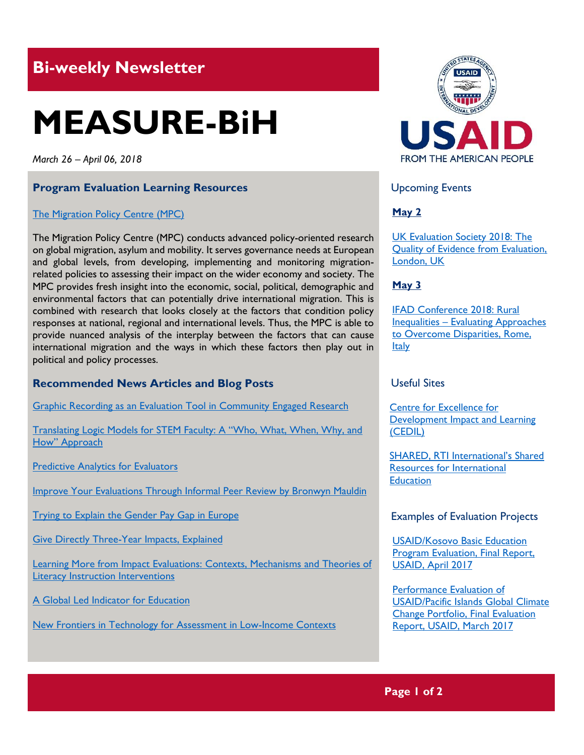# **Bi-weekly Newsletter**

# **MEASURE-BiH**

*March 26 – April 06, 2018*

#### **Program Evaluation Learning Resources**

#### [The Migration Policy Centre \(MPC\)](http://www.migrationpolicycentre.eu/)

The Migration Policy Centre (MPC) conducts advanced policy-oriented research on global migration, asylum and mobility. It serves governance needs at European and global levels, from developing, implementing and monitoring migrationrelated policies to assessing their impact on the wider economy and society. The MPC provides fresh insight into the economic, social, political, demographic and environmental factors that can potentially drive international migration. This is combined with research that looks closely at the factors that condition policy responses at national, regional and international levels. Thus, the MPC is able to provide nuanced analysis of the interplay between the factors that can cause international migration and the ways in which these factors then play out in political and policy processes.

#### **Recommended News Articles and Blog Posts**

[Graphic Recording as an Evaluation Tool in Community Engaged Research](http://aea365.org/blog/graphic-recording-as-an-evaluation-tool-in-community-engaged-research-by-clara-pelfrey-johnine-byrne-and-darcy-freedman/)

[Translating Logic Models for STEM Faculty: A "Who, What, When, Why, and](http://aea365.org/blog/translating-logic-models-for-stem-faculty-a-who-what-when-why-and-how-approach-by-shelly-engelman-kristin-patterson-brandon-campitelli-and-keely-finkelstein/)  How" Approach

**[Predictive Analytics for Evaluators](http://aea365.org/blog/predictive-analytics-for-evaluators-by-rick-davies/)** 

[Improve Your Evaluations Through Informal Peer Review by Bronwyn Mauldin](http://aea365.org/blog/improve-your-evaluations-through-informal-peer-review-by-bronwyn-mauldin/)

[Trying to Explain the Gender Pay Gap in Europe](https://blogs.worldbank.org/developmenttalk/trying-explain-gender-pay-gap-europe)

Give [Directly Three-Year Impacts, Explained](https://blogs.worldbank.org/impactevaluations/givedirectly-three-year-impacts-explained)

[Learning More from Impact Evaluations: Contexts, Mechanisms and Theories of](http://shared.rti.org/content/learning-more-impact-evaluations-contexts-mechanisms-and-theories-literacy-instruction)  **[Literacy Instruction Interventions](http://shared.rti.org/content/learning-more-impact-evaluations-contexts-mechanisms-and-theories-literacy-instruction)** 

[A Global Led Indicator for Education](http://shared.rti.org/content/global-lead-indicator-education)

[New Frontiers in Technology for Assessment in Low-Income Contexts](http://shared.rti.org/content/new-frontiers-technology-assessment-low-income-contexts)



Upcoming Events

# **May 2**

[UK Evaluation Society 2018: The](https://www.evalcommunity.com/event/2018-annual-evaluation-conference-the-quality-of-evidence-from-evaluation-demand-supply-and-use/)  [Quality of Evidence from Evaluation,](https://www.evalcommunity.com/event/2018-annual-evaluation-conference-the-quality-of-evidence-from-evaluation-demand-supply-and-use/)  [London, UK](https://www.evalcommunity.com/event/2018-annual-evaluation-conference-the-quality-of-evidence-from-evaluation-demand-supply-and-use/) 

**May 3**

[IFAD Conference 2018: Rural](https://www.ifad.org/web/events/rural-inequalities)  Inequalities – [Evaluating Approaches](https://www.ifad.org/web/events/rural-inequalities)  [to Overcome Disparities, Rome,](https://www.ifad.org/web/events/rural-inequalities)  [Italy](https://www.ifad.org/web/events/rural-inequalities)

## Useful Sites

[Centre for Excellence for](https://cedilprogramme.org/)  [Development Impact and Learning](https://cedilprogramme.org/)  [\(CEDIL\)](https://cedilprogramme.org/)

[SHARED, RTI International's Shared](http://shared.rti.org/)  [Resources for International](http://shared.rti.org/)  **[Education](http://shared.rti.org/)** 

Examples of Evaluation Projects

[USAID/Kosovo Basic Education](https://pdf.usaid.gov/pdf_docs/PA00MPH2.pdf) [Program Evaluation, Final Report,](https://pdf.usaid.gov/pdf_docs/PA00MPH2.pdf)  [USAID, April 2017](https://pdf.usaid.gov/pdf_docs/PA00MPH2.pdf)

[Performance Evaluation of](https://pdf.usaid.gov/pdf_docs/PA00MSXM.pdf)  [USAID/Pacific Islands Global Climate](https://pdf.usaid.gov/pdf_docs/PA00MSXM.pdf)  [Change Portfolio, Final Evaluation](https://pdf.usaid.gov/pdf_docs/PA00MSXM.pdf)  [Report, USAID, March 2017](https://pdf.usaid.gov/pdf_docs/PA00MSXM.pdf)

# **Page 1 of 2**